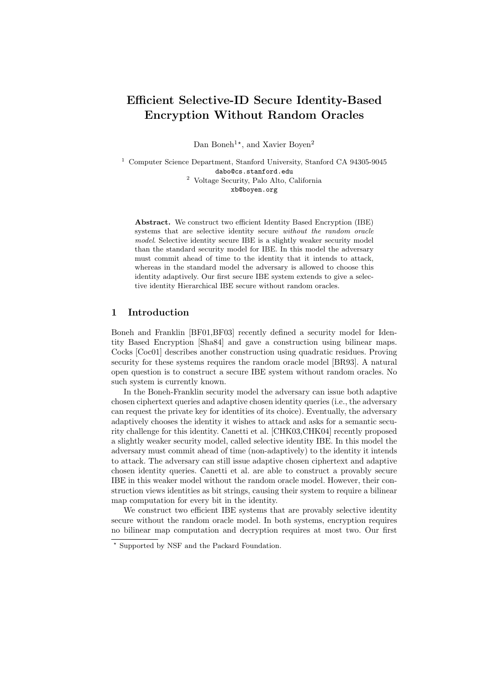# Efficient Selective-ID Secure Identity-Based Encryption Without Random Oracles

Dan Boneh<sup>1\*</sup>, and Xavier Boyen<sup>2</sup>

<sup>1</sup> Computer Science Department, Stanford University, Stanford CA 94305-9045 dabo@cs.stanford.edu <sup>2</sup> Voltage Security, Palo Alto, California xb@boyen.org

Abstract. We construct two efficient Identity Based Encryption (IBE) systems that are selective identity secure without the random oracle model. Selective identity secure IBE is a slightly weaker security model than the standard security model for IBE. In this model the adversary must commit ahead of time to the identity that it intends to attack, whereas in the standard model the adversary is allowed to choose this identity adaptively. Our first secure IBE system extends to give a selective identity Hierarchical IBE secure without random oracles.

# 1 Introduction

Boneh and Franklin [BF01,BF03] recently defined a security model for Identity Based Encryption [Sha84] and gave a construction using bilinear maps. Cocks [Coc01] describes another construction using quadratic residues. Proving security for these systems requires the random oracle model [BR93]. A natural open question is to construct a secure IBE system without random oracles. No such system is currently known.

In the Boneh-Franklin security model the adversary can issue both adaptive chosen ciphertext queries and adaptive chosen identity queries (i.e., the adversary can request the private key for identities of its choice). Eventually, the adversary adaptively chooses the identity it wishes to attack and asks for a semantic security challenge for this identity. Canetti et al. [CHK03,CHK04] recently proposed a slightly weaker security model, called selective identity IBE. In this model the adversary must commit ahead of time (non-adaptively) to the identity it intends to attack. The adversary can still issue adaptive chosen ciphertext and adaptive chosen identity queries. Canetti et al. are able to construct a provably secure IBE in this weaker model without the random oracle model. However, their construction views identities as bit strings, causing their system to require a bilinear map computation for every bit in the identity.

We construct two efficient IBE systems that are provably selective identity secure without the random oracle model. In both systems, encryption requires no bilinear map computation and decryption requires at most two. Our first

<sup>?</sup> Supported by NSF and the Packard Foundation.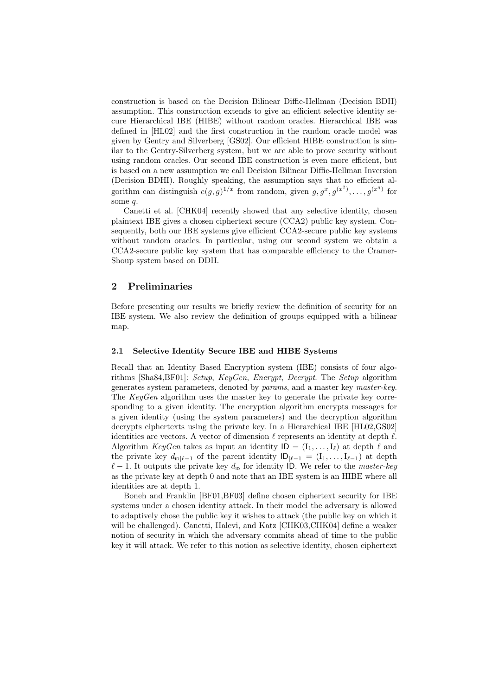construction is based on the Decision Bilinear Diffie-Hellman (Decision BDH) assumption. This construction extends to give an efficient selective identity secure Hierarchical IBE (HIBE) without random oracles. Hierarchical IBE was defined in [HL02] and the first construction in the random oracle model was given by Gentry and Silverberg [GS02]. Our efficient HIBE construction is similar to the Gentry-Silverberg system, but we are able to prove security without using random oracles. Our second IBE construction is even more efficient, but is based on a new assumption we call Decision Bilinear Diffie-Hellman Inversion (Decision BDHI). Roughly speaking, the assumption says that no efficient algorithm can distinguish  $e(g, g)^{1/x}$  from random, given  $g, g^x, g^{(x^2)}, \ldots, g^{(x^q)}$  for some q.

Canetti et al. [CHK04] recently showed that any selective identity, chosen plaintext IBE gives a chosen ciphertext secure (CCA2) public key system. Consequently, both our IBE systems give efficient CCA2-secure public key systems without random oracles. In particular, using our second system we obtain a CCA2-secure public key system that has comparable efficiency to the Cramer-Shoup system based on DDH.

# 2 Preliminaries

Before presenting our results we briefly review the definition of security for an IBE system. We also review the definition of groups equipped with a bilinear map.

#### 2.1 Selective Identity Secure IBE and HIBE Systems

Recall that an Identity Based Encryption system (IBE) consists of four algorithms [Sha84,BF01]: Setup, KeyGen, Encrypt, Decrypt. The Setup algorithm generates system parameters, denoted by params, and a master key master-key. The KeyGen algorithm uses the master key to generate the private key corresponding to a given identity. The encryption algorithm encrypts messages for a given identity (using the system parameters) and the decryption algorithm decrypts ciphertexts using the private key. In a Hierarchical IBE [HL02,GS02] identities are vectors. A vector of dimension  $\ell$  represents an identity at depth  $\ell$ . Algorithm KeyGen takes as input an identity  $ID = (I_1, \ldots, I_\ell)$  at depth  $\ell$  and the private key  $d_{\text{D}|\ell-1}$  of the parent identity  $|D_{|\ell-1} = (I_1, \ldots, I_{\ell-1})$  at depth  $\ell - 1$ . It outputs the private key  $d_{\text{ID}}$  for identity ID. We refer to the master-key as the private key at depth 0 and note that an IBE system is an HIBE where all identities are at depth 1.

Boneh and Franklin [BF01,BF03] define chosen ciphertext security for IBE systems under a chosen identity attack. In their model the adversary is allowed to adaptively chose the public key it wishes to attack (the public key on which it will be challenged). Canetti, Halevi, and Katz [CHK03,CHK04] define a weaker notion of security in which the adversary commits ahead of time to the public key it will attack. We refer to this notion as selective identity, chosen ciphertext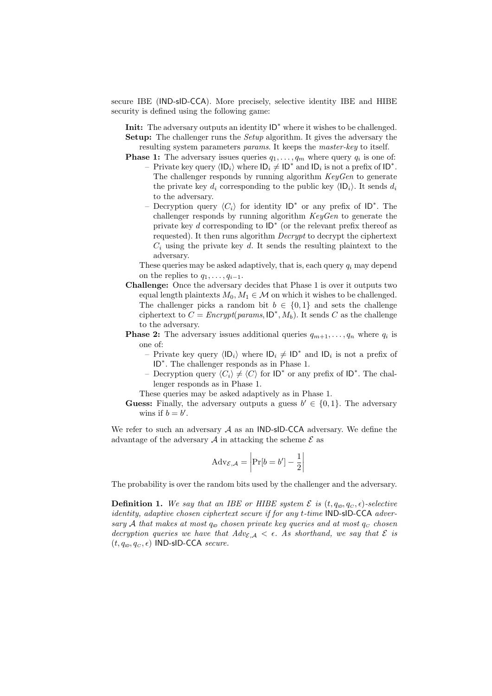secure IBE (IND-sID-CCA). More precisely, selective identity IBE and HIBE security is defined using the following game:

Init: The adversary outputs an identity ID<sup>∗</sup> where it wishes to be challenged. Setup: The challenger runs the *Setup* algorithm. It gives the adversary the resulting system parameters params. It keeps the master-key to itself.

- **Phase 1:** The adversary issues queries  $q_1, \ldots, q_m$  where query  $q_i$  is one of:
	- Private key query  $\langle \mathsf{ID}_i \rangle$  where  $\mathsf{ID}_i \neq \mathsf{ID}^*$  and  $\mathsf{ID}_i$  is not a prefix of  $\mathsf{ID}^*$ . The challenger responds by running algorithm  $KeyGen$  to generate the private key  $d_i$  corresponding to the public key  $\langle \mathsf{ID}_i \rangle$ . It sends  $d_i$ to the adversary.
	- Decryption query  $\langle C_i \rangle$  for identity ID<sup>\*</sup> or any prefix of ID<sup>\*</sup>. The challenger responds by running algorithm KeyGen to generate the private key d corresponding to  $ID^*$  (or the relevant prefix thereof as requested). It then runs algorithm Decrypt to decrypt the ciphertext  $C_i$  using the private key d. It sends the resulting plaintext to the adversary.

These queries may be asked adaptively, that is, each query  $q_i$  may depend on the replies to  $q_1, \ldots, q_{i-1}$ .

- Challenge: Once the adversary decides that Phase 1 is over it outputs two equal length plaintexts  $M_0, M_1 \in \mathcal{M}$  on which it wishes to be challenged. The challenger picks a random bit  $b \in \{0, 1\}$  and sets the challenge ciphertext to  $C = \text{Encrypt}(\text{params}, \text{ID}^*, M_b)$ . It sends C as the challenge to the adversary.
- **Phase 2:** The adversary issues additional queries  $q_{m+1}, \ldots, q_n$  where  $q_i$  is one of:
	- Private key query  $\langle \mathsf{ID}_i \rangle$  where  $\mathsf{ID}_i \neq \mathsf{ID}^*$  and  $\mathsf{ID}_i$  is not a prefix of ID<sup>\*</sup>. The challenger responds as in Phase 1.
	- Decryption query  $\langle C_i \rangle \neq \langle C \rangle$  for ID<sup>∗</sup> or any prefix of ID<sup>∗</sup>. The challenger responds as in Phase 1.

These queries may be asked adaptively as in Phase 1.

**Guess:** Finally, the adversary outputs a guess  $b' \in \{0, 1\}$ . The adversary wins if  $b = b'$ .

We refer to such an adversary  $A$  as an IND-sID-CCA adversary. We define the advantage of the adversary  $A$  in attacking the scheme  $\mathcal E$  as

$$
Adv_{\mathcal{E}, \mathcal{A}} = \left| Pr[b = b'] - \frac{1}{2} \right|
$$

The probability is over the random bits used by the challenger and the adversary.

**Definition 1.** We say that an IBE or HIBE system  $\mathcal{E}$  is  $(t, q_D, q_C, \epsilon)$ -selective identity, adaptive chosen ciphertext secure if for any t-time IND-sID-CCA adversary A that makes at most  $q_{\text{ID}}$  chosen private key queries and at most  $q_{\text{C}}$  chosen decryption queries we have that  $Adv_{\mathcal{E},\mathcal{A}} < \epsilon$ . As shorthand, we say that  $\mathcal E$  is  $(t, q_{ID}, q_C, \epsilon)$  IND-sID-CCA secure.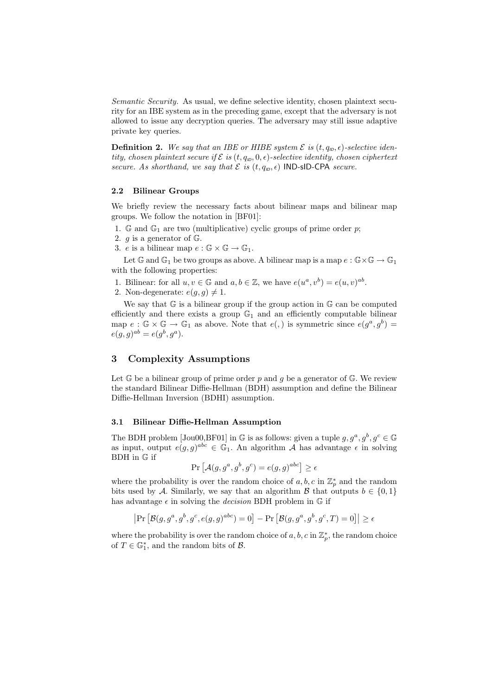Semantic Security. As usual, we define selective identity, chosen plaintext security for an IBE system as in the preceding game, except that the adversary is not allowed to issue any decryption queries. The adversary may still issue adaptive private key queries.

**Definition 2.** We say that an IBE or HIBE system  $\mathcal{E}$  is  $(t, q_{\text{ID}}, \epsilon)$ -selective identity, chosen plaintext secure if  $\mathcal E$  is  $(t, q_{\text{ID}}, 0, \epsilon)$ -selective identity, chosen ciphertext secure. As shorthand, we say that  $\mathcal E$  is  $(t, q_{\text{ID}}, \epsilon)$  IND-sID-CPA secure.

### 2.2 Bilinear Groups

We briefly review the necessary facts about bilinear maps and bilinear map groups. We follow the notation in [BF01]:

- 1.  $\mathbb{G}$  and  $\mathbb{G}_1$  are two (multiplicative) cyclic groups of prime order p;
- 2.  $q$  is a generator of  $\mathbb{G}$ .
- 3. e is a bilinear map  $e : \mathbb{G} \times \mathbb{G} \to \mathbb{G}_1$ .

Let  $\mathbb{G}$  and  $\mathbb{G}_1$  be two groups as above. A bilinear map is a map  $e : \mathbb{G} \times \mathbb{G} \to \mathbb{G}_1$ with the following properties:

- 1. Bilinear: for all  $u, v \in \mathbb{G}$  and  $a, b \in \mathbb{Z}$ , we have  $e(u^a, v^b) = e(u, v)^{ab}$ .
- 2. Non-degenerate:  $e(g, g) \neq 1$ .

We say that  $\mathbb G$  is a bilinear group if the group action in  $\mathbb G$  can be computed efficiently and there exists a group  $\mathbb{G}_1$  and an efficiently computable bilinear map  $e : \mathbb{G} \times \mathbb{G} \to \mathbb{G}_1$  as above. Note that  $e(.)$  is symmetric since  $e(g^a, g^b) =$  $e(g, g)^{ab} = e(g^{b}, g^{a}).$ 

# 3 Complexity Assumptions

Let  $\mathbb G$  be a bilinear group of prime order p and g be a generator of  $\mathbb G$ . We review the standard Bilinear Diffie-Hellman (BDH) assumption and define the Bilinear Diffie-Hellman Inversion (BDHI) assumption.

#### 3.1 Bilinear Diffie-Hellman Assumption

The BDH problem [Jou00,BF01] in G is as follows: given a tuple  $g, g^a, g^b, g^c \in \mathbb{G}$ as input, output  $e(g, g)^{abc} \in \mathbb{G}_1$ . An algorithm A has advantage  $\epsilon$  in solving BDH in G if

$$
\Pr\left[\mathcal{A}(g, g^a, g^b, g^c) = e(g, g)^{abc}\right] \ge \epsilon
$$

where the probability is over the random choice of  $a, b, c$  in  $\mathbb{Z}_p^*$  and the random bits used by A. Similarly, we say that an algorithm  $\mathcal{B}$  that outputs  $b \in \{0, 1\}$ has advantage  $\epsilon$  in solving the *decision* BDH problem in  $\mathbb{G}$  if

$$
\left| \Pr \left[ \mathcal{B}(g, g^a, g^b, g^c, e(g, g)^{abc}) = 0 \right] - \Pr \left[ \mathcal{B}(g, g^a, g^b, g^c, T) = 0 \right] \right| \ge \epsilon
$$

where the probability is over the random choice of  $a, b, c$  in  $\mathbb{Z}_p^*$ , the random choice of  $T \in \mathbb{G}_1^*$ , and the random bits of  $\mathcal{B}$ .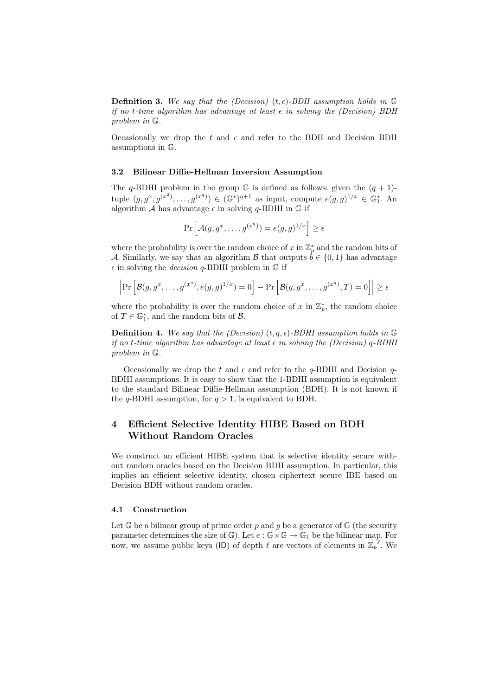**Definition 3.** We say that the (Decision)  $(t, \epsilon)$ -BDH assumption holds in G if no t-time algorithm has advantage at least  $\epsilon$  in solving the (Decision) BDH problem in G.

Occasionally we drop the t and  $\epsilon$  and refer to the BDH and Decision BDH assumptions in G.

#### 3.2 Bilinear Diffie-Hellman Inversion Assumption

The q-BDHI problem in the group  $\mathbb G$  is defined as follows: given the  $(q + 1)$ tuple  $(g, g^x, g^{(x^2)}, \dots, g^{(x^q)}) \in (\mathbb{G}^*)^{q+1}$  as input, compute  $e(g, g)^{1/x} \in \mathbb{G}_1^*$ . An algorithm A has advantage  $\epsilon$  in solving q-BDHI in  $\mathbb G$  if

$$
\Pr\left[\mathcal{A}(g, g^x, \dots, g^{(x^q)}) = e(g, g)^{1/x}\right] \ge \epsilon
$$

where the probability is over the random choice of x in  $\mathbb{Z}_p^*$  and the random bits of A. Similarly, we say that an algorithm B that outputs  $\dot{b} \in \{0, 1\}$  has advantage  $\epsilon$  in solving the *decision* q-BDHI problem in  $\mathbb G$  if

$$
\left| \Pr \left[ \mathcal{B}(g, g^x, \dots, g^{(x^q)}, e(g, g)^{1/x}) = 0 \right] - \Pr \left[ \mathcal{B}(g, g^x, \dots, g^{(x^q)}, T) = 0 \right] \right| \ge \epsilon
$$

where the probability is over the random choice of x in  $\mathbb{Z}_p^*$ , the random choice of  $T \in \mathbb{G}_1^*$ , and the random bits of  $\mathcal{B}$ .

**Definition 4.** We say that the (Decision)  $(t, q, \epsilon)$ -BDHI assumption holds in G if no t-time algorithm has advantage at least  $\epsilon$  in solving the (Decision) q-BDHI problem in G.

Occasionally we drop the t and  $\epsilon$  and refer to the q-BDHI and Decision q-BDHI assumptions. It is easy to show that the 1-BDHI assumption is equivalent to the standard Bilinear Diffie-Hellman assumption (BDH). It is not known if the q-BDHI assumption, for  $q > 1$ , is equivalent to BDH.

# 4 Efficient Selective Identity HIBE Based on BDH Without Random Oracles

We construct an efficient HIBE system that is selective identity secure without random oracles based on the Decision BDH assumption. In particular, this implies an efficient selective identity, chosen ciphertext secure IBE based on Decision BDH without random oracles.

### 4.1 Construction

Let  $\mathbb G$  be a bilinear group of prime order p and q be a generator of  $\mathbb G$  (the security parameter determines the size of  $\mathbb{G}$ ). Let  $e : \mathbb{G} \times \mathbb{G} \to \mathbb{G}_1$  be the bilinear map. For now, we assume public keys (ID) of depth  $\ell$  are vectors of elements in  $\mathbb{Z}_p^{\ell}$ . We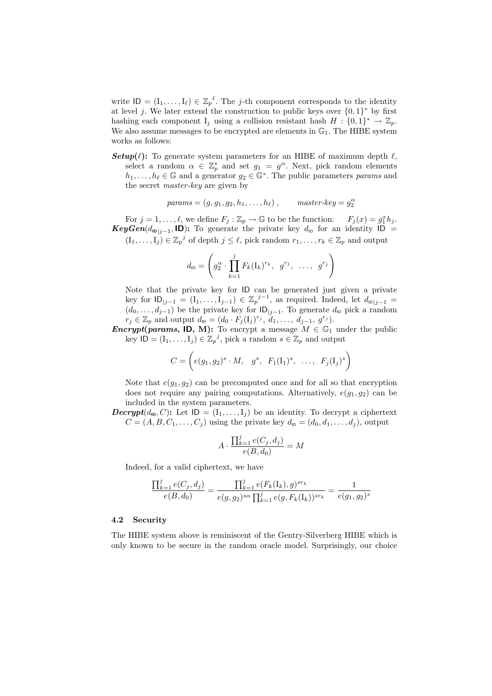write  $\mathsf{ID} = (\mathbf{I}_1, \ldots, \mathbf{I}_\ell) \in \mathbb{Z}_p^{\ell}$ . The *j*-th component corresponds to the identity at level j. We later extend the construction to public keys over  $\{0,1\}^*$  by first hashing each component  $I_j$  using a collision resistant hash  $H: \{0,1\}^* \to \mathbb{Z}_p$ . We also assume messages to be encrypted are elements in  $\mathbb{G}_1$ . The HIBE system works as follows:

**Setup(** $\ell$ **):** To generate system parameters for an HIBE of maximum depth  $\ell$ , select a random  $\alpha \in \mathbb{Z}_p^*$  and set  $g_1 = g^{\alpha}$ . Next, pick random elements  $h_1, \ldots, h_\ell \in \mathbb{G}$  and a generator  $g_2 \in \mathbb{G}^*$ . The public parameters params and the secret master-key are given by

$$
params = (g, g_1, g_2, h_1, \dots, h_\ell) , \qquad master-key = g_2^{\alpha}
$$

For  $j = 1, ..., \ell$ , we define  $F_j : \mathbb{Z}_p \to \mathbb{G}$  to be the function:  $F_j(x) = g_1^x h_j$ . KeyGen( $d_{\text{ID}|j-1}$ , ID): To generate the private key  $d_{\text{ID}}$  for an identity ID =  $(I_1, \ldots, I_j) \in \mathbb{Z}_p^j$  of depth  $j \leq \ell$ , pick random  $r_1, \ldots, r_k \in \mathbb{Z}_p$  and output

$$
d_{\text{ID}} = \left( g_2^{\alpha} \cdot \prod_{k=1}^{j} F_k(\mathbf{I}_k)^{r_k}, g^{r_1}, \ldots, g^{r_j} \right)
$$

Note that the private key for ID can be generated just given a private key for  $\text{ID}_{|j-1} = (I_1, \ldots, I_{j-1}) \in \mathbb{Z}_p^{j-1}$ , as required. Indeed, let  $d_{\text{ID}|j-1} =$  $(d_0, \ldots, d_{j-1})$  be the private key for  $ID_{j-1}$ . To generate  $d_{ID}$  pick a random  $r_j \in \mathbb{Z}_p$  and output  $d_{\mathsf{ID}} = (d_0 \cdot F_j(\mathbf{I}_j)^{r_j}, \mathbf{I}_1, \ldots, \mathbf{I}_{j-1}, \mathbf{I}_j^{r_j}).$ 

**Encrypt(params, ID, M):** To encrypt a message  $M \in \mathbb{G}_1$  under the public key  $\mathsf{ID} = (\mathbf{I}_1, \dots, \mathbf{I}_j) \in \mathbb{Z}_p^j$ , pick a random  $s \in \mathbb{Z}_p$  and output

$$
C = \left( e(g_1, g_2)^s \cdot M, \quad g^s, \quad F_1(\mathbf{I}_1)^s, \quad \dots, \quad F_j(\mathbf{I}_j)^s \right)
$$

Note that  $e(g_1, g_2)$  can be precomputed once and for all so that encryption does not require any pairing computations. Alternatively,  $e(g_1, g_2)$  can be included in the system parameters.

**Decrypt** $(d_{\mathbf{ID}}, C)$ : Let  $\mathbf{ID} = (I_1, \ldots, I_j)$  be an identity. To decrypt a ciphertext  $C = (A, B, C_1, \ldots, C_j)$  using the private key  $d_{\text{ID}} = (d_0, d_1, \ldots, d_j)$ , output

$$
A \cdot \frac{\prod_{k=1}^{j} e(C_j, d_j)}{e(B, d_0)} = M
$$

Indeed, for a valid ciphertext, we have

$$
\frac{\prod_{k=1}^{j} e(C_j, d_j)}{e(B, d_0)} = \frac{\prod_{k=1}^{j} e(F_k(\mathbf{I}_k), g)^{sr_k}}{e(g, g_2)^{s\alpha} \prod_{k=1}^{j} e(g, F_k(\mathbf{I}_k))^{sr_k}} = \frac{1}{e(g_1, g_2)^s}
$$

## 4.2 Security

The HIBE system above is reminiscent of the Gentry-Silverberg HIBE which is only known to be secure in the random oracle model. Surprisingly, our choice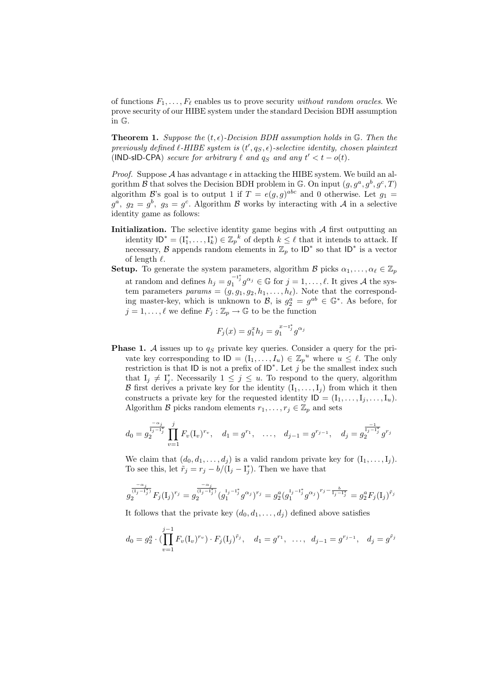of functions  $F_1, \ldots, F_\ell$  enables us to prove security without random oracles. We prove security of our HIBE system under the standard Decision BDH assumption in G.

**Theorem 1.** Suppose the  $(t, \epsilon)$ -Decision BDH assumption holds in  $\mathbb{G}$ . Then the previously defined  $\ell$ -HIBE system is  $(t', q_S, \epsilon)$ -selective identity, chosen plaintext (IND-sID-CPA) secure for arbitrary  $\ell$  and  $q_S$  and any  $t' < t - o(t)$ .

*Proof.* Suppose A has advantage  $\epsilon$  in attacking the HIBE system. We build an algorithm  $\mathcal B$  that solves the Decision BDH problem in  $\mathbb G$ . On input  $(g, g^a, g^b, g^c, T)$ algorithm B's goal is to output 1 if  $T = e(g, g)^{abc}$  and 0 otherwise. Let  $g_1 =$  $g^a$ ,  $g_2 = g^b$ ,  $g_3 = g^c$ . Algorithm  $\beta$  works by interacting with  $\mathcal A$  in a selective identity game as follows:

- Initialization. The selective identity game begins with  $A$  first outputting an identity  $ID^* = (I_1^*, \ldots, I_k^*) \in \mathbb{Z}_p^k$  of depth  $k \leq \ell$  that it intends to attack. If necessary, B appends random elements in  $\mathbb{Z}_p$  to  $\mathsf{ID}^*$  so that  $\mathsf{ID}^*$  is a vector of length  $\ell$ .
- **Setup.** To generate the system parameters, algorithm B picks  $\alpha_1, \ldots, \alpha_\ell \in \mathbb{Z}_p$ at random and defines  $h_j = g_1^{-1^*j} g^{\alpha_j} \in \mathbb{G}$  for  $j = 1, \ldots, \ell$ . It gives A the system parameters  $params = (g, g_1, g_2, h_1, \ldots, h_\ell)$ . Note that the corresponding master-key, which is unknown to  $\mathcal{B}$ , is  $g_2^a = g^{ab} \in \mathbb{G}^*$ . As before, for  $j = 1, \ldots, \ell$  we define  $F_j : \mathbb{Z}_p \to \mathbb{G}$  to be the function

$$
F_j(x) = g_1^x h_j = g_1^{x - 1_j^*} g^{\alpha_j}
$$

**Phase 1.** A issues up to  $q_S$  private key queries. Consider a query for the private key corresponding to  $ID = (I_1, \ldots, I_u) \in \mathbb{Z}_p^u$  where  $u \leq \ell$ . The only restriction is that ID is not a prefix of  $ID^*$ . Let j be the smallest index such that  $I_j \neq I_j^*$ . Necessarily  $1 \leq j \leq u$ . To respond to the query, algorithm B first derives a private key for the identity  $(I_1, \ldots, I_i)$  from which it then constructs a private key for the requested identity  $ID = (I_1, \ldots, I_j, \ldots, I_u)$ . Algorithm B picks random elements  $r_1, \ldots, r_j \in \mathbb{Z}_p$  and sets

$$
d_0 = g_2^{\frac{-\alpha_j}{1_j - 1_j^*}} \prod_{v=1}^j F_v(\mathbf{I}_v)^{r_v}, \quad d_1 = g^{r_1}, \quad \dots, \quad d_{j-1} = g^{r_{j-1}}, \quad d_j = g_2^{\frac{-1}{1_j - 1_j^*}} g^{r_j}
$$

We claim that  $(d_0, d_1, \ldots, d_j)$  is a valid random private key for  $(I_1, \ldots, I_j)$ . To see this, let  $\tilde{r}_j = r_j - b/(\tilde{I}_j - I_j^*)$ . Then we have that

$$
g_2^{\frac{-\alpha_j}{(\mathrm{I}_j-\mathrm{I}_j^*)}} F_j(\mathrm{I}_j)^{r_j}=g_2^{\frac{-\alpha_j}{(\mathrm{I}_j-\mathrm{I}_j^*)}}(g_1^{\mathrm{I}_j-\mathrm{I}_j^*}g^{\alpha_j})^{r_j}=g_2^a(g_1^{\mathrm{I}_j-\mathrm{I}_j^*}g^{\alpha_j})^{r_j-\frac{b}{\mathrm{I}_j-\mathrm{I}_j^*}}=g_2^aF_j(\mathrm{I}_j)^{\tilde{r}_j}
$$

It follows that the private key  $(d_0, d_1, \ldots, d_i)$  defined above satisfies

$$
d_0 = g_2^a \cdot (\prod_{v=1}^{j-1} F_v(\mathbf{I}_v)^{r_v}) \cdot F_j(\mathbf{I}_j)^{\tilde{r}_j}, \quad d_1 = g^{r_1}, \ \ldots, \ d_{j-1} = g^{r_{j-1}}, \ d_j = g^{\tilde{r}_j}
$$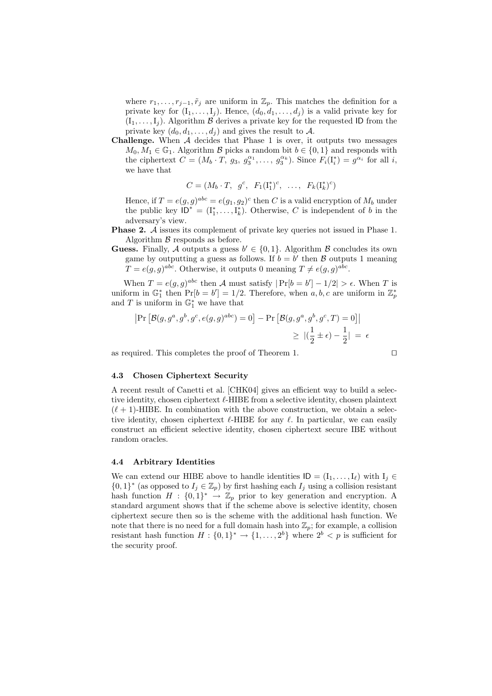where  $r_1, \ldots, r_{j-1}, \tilde{r}_j$  are uniform in  $\mathbb{Z}_p$ . This matches the definition for a private key for  $(I_1, \ldots, I_j)$ . Hence,  $(d_0, d_1, \ldots, d_j)$  is a valid private key for  $(I_1, \ldots, I_j)$ . Algorithm  $\beta$  derives a private key for the requested ID from the private key  $(d_0, d_1, \ldots, d_j)$  and gives the result to A.

**Challenge.** When  $A$  decides that Phase 1 is over, it outputs two messages  $M_0, M_1 \in \mathbb{G}_1$ . Algorithm B picks a random bit  $b \in \{0, 1\}$  and responds with the ciphertext  $C = (M_b \cdot T, g_3, g_3^{\alpha_1}, \dots, g_3^{\alpha_k})$ . Since  $F_i(I_i^*) = g_{\alpha_i}$  for all i, we have that

$$
C = (M_b \cdot T, g^c, F_1(\mathbf{I}_1^*)^c, \dots, F_k(\mathbf{I}_k^*)^c)
$$

Hence, if  $T = e(g, g)^{abc} = e(g_1, g_2)^c$  then C is a valid encryption of  $M_b$  under the public key  $\overline{\mathsf{ID}^*} = (\mathbf{I}_1^*, \ldots, \mathbf{I}_k^*)$ . Otherwise, C is independent of b in the adversary's view.

Phase 2. A issues its complement of private key queries not issued in Phase 1. Algorithm  $\beta$  responds as before.

**Guess.** Finally, A outputs a guess  $b' \in \{0, 1\}$ . Algorithm B concludes its own game by outputting a guess as follows. If  $b = b'$  then  $\beta$  outputs 1 meaning  $T = e(g, g)^{abc}$ . Otherwise, it outputs 0 meaning  $T \neq e(g, g)^{abc}$ .

When  $T = e(g, g)^{abc}$  then A must satisfy  $|\Pr[b = b'] - 1/2| > \epsilon$ . When T is uniform in  $\mathbb{G}_1^*$  then  $\Pr[b = b'] = 1/2$ . Therefore, when a, b, c are uniform in  $\mathbb{Z}_p^*$ and T is uniform in  $\mathbb{G}_1^*$  we have that

$$
\begin{aligned} \left| \Pr \left[ \mathcal{B}(g, g^a, g^b, g^c, e(g, g)^{abc}) = 0 \right] - \Pr \left[ \mathcal{B}(g, g^a, g^b, g^c, T) = 0 \right] \right| \\ &\geq \left| \left( \frac{1}{2} \pm \epsilon \right) - \frac{1}{2} \right| \; = \; \epsilon \end{aligned}
$$

as required. This completes the proof of Theorem 1.

$$
\Box
$$

## 4.3 Chosen Ciphertext Security

A recent result of Canetti et al. [CHK04] gives an efficient way to build a selective identity, chosen ciphertext  $\ell$ -HIBE from a selective identity, chosen plaintext  $(\ell + 1)$ -HIBE. In combination with the above construction, we obtain a selective identity, chosen ciphertext  $\ell$ -HIBE for any  $\ell$ . In particular, we can easily construct an efficient selective identity, chosen ciphertext secure IBE without random oracles.

#### 4.4 Arbitrary Identities

We can extend our HIBE above to handle identities  $ID = (I_1, \ldots, I_\ell)$  with  $I_j \in$  $\{0,1\}^*$  (as opposed to  $I_j \in \mathbb{Z}_p$ ) by first hashing each  $I_j$  using a collision resistant hash function  $H : \{0,1\}^* \rightarrow \mathbb{Z}_p$  prior to key generation and encryption. A standard argument shows that if the scheme above is selective identity, chosen ciphertext secure then so is the scheme with the additional hash function. We note that there is no need for a full domain hash into  $\mathbb{Z}_p$ ; for example, a collision resistant hash function  $H: \{0,1\}^* \to \{1,\ldots,2^b\}$  where  $2^b < p$  is sufficient for the security proof.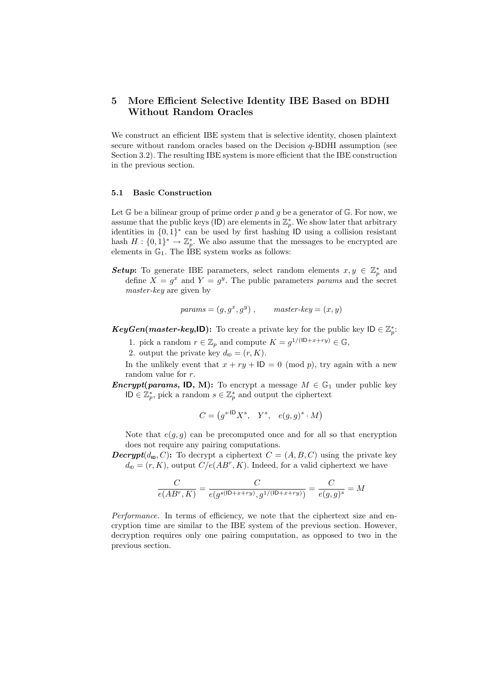# 5 More Efficient Selective Identity IBE Based on BDHI Without Random Oracles

We construct an efficient IBE system that is selective identity, chosen plaintext secure without random oracles based on the Decision  $q$ -BDHI assumption (see Section 3.2). The resulting IBE system is more efficient that the IBE construction in the previous section.

#### 5.1 Basic Construction

Let  $\mathbb{G}$  be a bilinear group of prime order p and g be a generator of  $\mathbb{G}$ . For now, we assume that the public keys (ID) are elements in  $\mathbb{Z}_p^*$ . We show later that arbitrary identities in {0, 1} ∗ can be used by first hashing ID using a collision resistant hash  $H: \{0,1\}^* \to \mathbb{Z}_p^*$ . We also assume that the messages to be encrypted are elements in  $\mathbb{G}_1$ . The IBE system works as follows:

**Setup:** To generate IBE parameters, select random elements  $x, y \in \mathbb{Z}_p^*$  and define  $X = g^x$  and  $Y = g^y$ . The public parameters params and the secret master-key are given by

$$
params = (g, g^x, g^y), \qquad master-key = (x, y)
$$

**KeyGen(master-key,ID):** To create a private key for the public key  $ID \in \mathbb{Z}_p^*$ .

- 1. pick a random  $r \in \mathbb{Z}_p$  and compute  $K = g^{1/(|\mathsf{D}+x+ry)} \in \mathbb{G}$ ,
- 2. output the private key  $d_{\text{ID}} = (r, K)$ .

In the unlikely event that  $x + ry + ID = 0 \pmod{p}$ , try again with a new random value for r.

**Encrypt(params, ID, M):** To encrypt a message  $M \in \mathbb{G}_1$  under public key ID  $\in \mathbb{Z}_p^*$ , pick a random  $s \in \mathbb{Z}_p^*$  and output the ciphertext

$$
C = (g^{s \cdot \text{ID}} X^s, Y^s, e(g, g)^s \cdot M)
$$

Note that  $e(g, g)$  can be precomputed once and for all so that encryption does not require any pairing computations.

**Decrypt** $(d_{\mathbf{I_D}}, C)$ : To decrypt a ciphertext  $C = (A, B, C)$  using the private key  $d_{\text{ID}} = (r, K)$ , output  $C/e(AB^r, K)$ . Indeed, for a valid ciphertext we have

$$
\frac{C}{e(AB^r,K)} = \frac{C}{e(g^{s(\text{ID}+x+ry)},g^{1/(\text{ID}+x+ry)})} = \frac{C}{e(g,g)^s} = M
$$

Performance. In terms of efficiency, we note that the ciphertext size and encryption time are similar to the IBE system of the previous section. However, decryption requires only one pairing computation, as opposed to two in the previous section.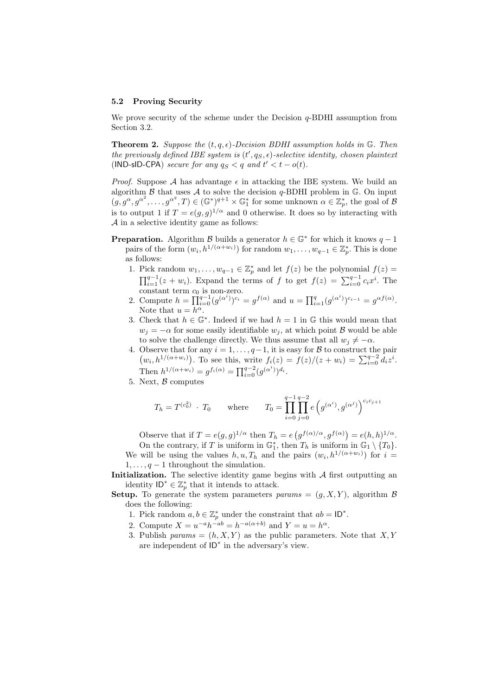#### 5.2 Proving Security

We prove security of the scheme under the Decision  $q$ -BDHI assumption from Section 3.2.

**Theorem 2.** Suppose the  $(t, q, \epsilon)$ -Decision BDHI assumption holds in G. Then the previously defined IBE system is  $(t', q_S, \epsilon)$ -selective identity, chosen plaintext (IND-sID-CPA) secure for any  $q_S < q$  and  $t' < t - o(t)$ .

*Proof.* Suppose A has advantage  $\epsilon$  in attacking the IBE system. We build an algorithm  $\beta$  that uses  $\mathcal A$  to solve the decision q-BDHI problem in  $\mathbb G$ . On input  $(g, g^{\alpha}, g^{\alpha^2}, \ldots, g^{\alpha^q}, T) \in (\mathbb{G}^*)^{q+1} \times \mathbb{G}_1^*$  for some unknown  $\alpha \in \mathbb{Z}_p^*$ , the goal of B is to output 1 if  $T = e(g, g)^{1/\alpha}$  and 0 otherwise. It does so by interacting with A in a selective identity game as follows:

- **Preparation.** Algorithm B builds a generator  $h \in \mathbb{G}^*$  for which it knows  $q-1$ pairs of the form  $(w_i, h^{1/(\alpha+w_i)})$  for random  $w_1, \ldots, w_{q-1} \in \mathbb{Z}_p^*$ . This is done as follows:
	- 1. Pick random  $w_1, \ldots, w_{q-1} \in \mathbb{Z}_p^*$  and let  $f(z)$  be the polynomial  $f(z) =$  $\prod_{i=1}^{q-1} (z + w_i)$ . Expand the terms of f to get  $f(z) = \sum_{i=0}^{q-1} c_i x^i$ . The constant term  $c_0$  is non-zero.
	- 2. Compute  $h = \prod_{i=0}^{q-1} (g^{(\alpha^i)})^{c_i} = g^{f(\alpha)}$  and  $u = \prod_{i=1}^{q} (g^{(\alpha^i)})^{c_{i-1}} = g^{\alpha f(\alpha)}$ . Note that  $u = h^{\alpha}$ .
	- 3. Check that  $h \in \mathbb{G}^*$ . Indeed if we had  $h = 1$  in  $\mathbb{G}$  this would mean that  $w_i = -\alpha$  for some easily identifiable  $w_i$ , at which point  $\beta$  would be able to solve the challenge directly. We thus assume that all  $w_i \neq -\alpha$ .
	- 4. Observe that for any  $i = 1, \ldots, q-1$ , it is easy for B to construct the pair  $(w_i, h^{1/(\alpha+w_i)})$ . To see this, write  $f_i(z) = f(z)/(z+w_i) = \sum_{i=0}^{q-2} d_i z^i$ . Then  $h^{1/(\alpha+w_i)} = g^{f_i(\alpha)} = \prod_{i=0}^{q-2} (g^{(\alpha^i)})^{d_i}$ .
	- 5. Next,  $\beta$  computes

$$
T_h = T^{(c_0^2)} \cdot T_0
$$
 where  $T_0 = \prod_{i=0}^{q-1} \prod_{j=0}^{q-2} e(g^{(\alpha^i)}, g^{(\alpha^j)})^{c_i c_{j+1}}$ 

Observe that if  $T = e(g, g)^{1/\alpha}$  then  $T_h = e(g^{f(\alpha)/\alpha}, g^{f(\alpha)}) = e(h, h)^{1/\alpha}$ . On the contrary, if T is uniform in  $\mathbb{G}_1^*$ , then  $T_h$  is uniform in  $\mathbb{G}_1 \setminus \{T_0\}$ . We will be using the values  $h, u, T_h$  and the pairs  $(w_i, h^{1/(\alpha+w_i)})$  for  $i =$ 

 $1, \ldots, q-1$  throughout the simulation.

Initialization. The selective identity game begins with  $A$  first outputting an identity  $ID^* \in \mathbb{Z}_p^*$  that it intends to attack.

**Setup.** To generate the system parameters params =  $(q, X, Y)$ , algorithm  $\beta$ does the following:

- 1. Pick random  $a, b \in \mathbb{Z}_p^*$  under the constraint that  $ab = \mathsf{ID}^*$ .
- 2. Compute  $X = u^{-a}h^{-ab} = h^{-a(\alpha+b)}$  and  $Y = u = h^{\alpha}$ .
- 3. Publish params =  $(h, X, Y)$  as the public parameters. Note that X, Y are independent of ID<sup>∗</sup> in the adversary's view.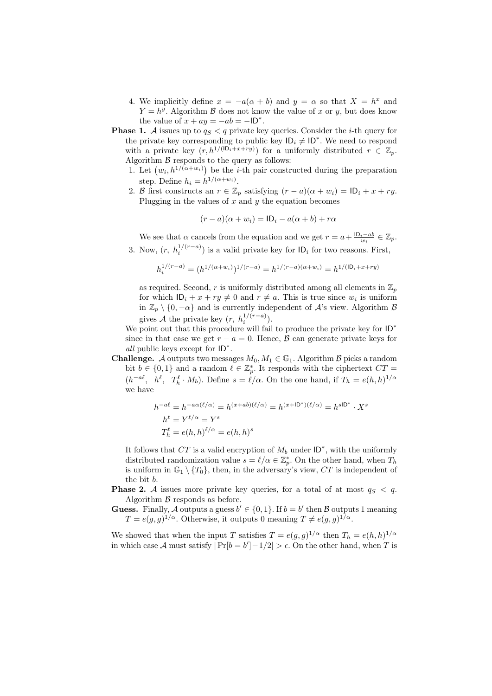- 4. We implicitly define  $x = -a(\alpha + b)$  and  $y = \alpha$  so that  $X = h^x$  and  $Y = h^y$ . Algorithm  $\beta$  does not know the value of x or y, but does know the value of  $x + ay = -ab = -1D^*$ .
- **Phase 1.** A issues up to  $q_S < q$  private key queries. Consider the *i*-th query for the private key corresponding to public key  $\mathsf{ID}_i \neq \mathsf{ID}^*$ . We need to respond with a private key  $(r, h^{1/(10_i+x+ry)})$  for a uniformly distributed  $r \in \mathbb{Z}_p$ . Algorithm  $\beta$  responds to the query as follows:
	- 1. Let  $(w_i, h^{1/(\alpha+w_i)})$  be the *i*-th pair constructed during the preparation step. Define  $h_i = h^{1/(\alpha + w_i)}$ .
	- 2. B first constructs an  $r \in \mathbb{Z}_p$  satisfying  $(r a)(\alpha + w_i) = \mathsf{ID}_i + x + ry$ . Plugging in the values of  $x$  and  $y$  the equation becomes

$$
(r-a)(\alpha+w_i) = \mathsf{ID}_i - a(\alpha+b) + r\alpha
$$

We see that  $\alpha$  cancels from the equation and we get  $r = a + \frac{1D_i - ab}{w_i} \in \mathbb{Z}_p$ . 3. Now,  $(r, h_i^{1/(r-a)})$  is a valid private key for  $ID_i$  for two reasons. First,

$$
h_i^{1/(r-a)} = (h^{1/(\alpha+w_i)})^{1/(r-a)} = h^{1/(r-a)(\alpha+w_i)} = h^{1/(D_i+x+ry)}
$$

as required. Second, r is uniformly distributed among all elements in  $\mathbb{Z}_p$ for which  $ID_i + x + ry \neq 0$  and  $r \neq a$ . This is true since  $w_i$  is uniform in  $\mathbb{Z}_p \setminus \{0, -\alpha\}$  and is currently independent of  $\mathcal{A}$ 's view. Algorithm  $\mathcal{B}$ gives A the private key  $(r, h_i^{1/(r-a)})$ .

We point out that this procedure will fail to produce the private key for ID<sup>∗</sup> since in that case we get  $r - a = 0$ . Hence, B can generate private keys for all public keys except for  $ID^*$ .

**Challenge.** A outputs two messages  $M_0, M_1 \in \mathbb{G}_1$ . Algorithm B picks a random bit  $b \in \{0,1\}$  and a random  $\ell \in \mathbb{Z}_p^*$ . It responds with the ciphertext  $CT =$  $(h^{-a\ell}, h^{\ell}, T_h^{\ell} \cdot M_b)$ . Define  $s = \ell/\alpha$ . On the one hand, if  $T_h = e(h, h)^{1/\alpha}$ we have

$$
\begin{aligned} h^{-a\ell} &= h^{-a\alpha(\ell/\alpha)} = h^{(x+ab)(\ell/\alpha)} = h^{(x+\mathsf{ID}^*)(\ell/\alpha)} = h^{\mathsf{sID}^*} \cdot X^s \\ h^\ell &= Y^{\ell/\alpha} = Y^s \\ T_h^\ell &= e(h,h)^{\ell/\alpha} = e(h,h)^s \end{aligned}
$$

It follows that  $CT$  is a valid encryption of  $M_b$  under  $ID^*$ , with the uniformly distributed randomization value  $s = \ell/\alpha \in \mathbb{Z}_p^*$ . On the other hand, when  $T_h$ is uniform in  $\mathbb{G}_1 \setminus \{T_0\}$ , then, in the adversary's view, CT is independent of the bit b.

**Phase 2.** A issues more private key queries, for a total of at most  $q_S < q$ . Algorithm  $\beta$  responds as before.

**Guess.** Finally, A outputs a guess  $b' \in \{0, 1\}$ . If  $b = b'$  then B outputs 1 meaning  $T = e(g, g)^{1/\alpha}$ . Otherwise, it outputs 0 meaning  $T \neq e(g, g)^{1/\alpha}$ .

We showed that when the input T satisfies  $T = e(g, g)^{1/\alpha}$  then  $T_h = e(h, h)^{1/\alpha}$ in which case A must satisfy  $|Pr[b = b'] - 1/2| > \epsilon$ . On the other hand, when T is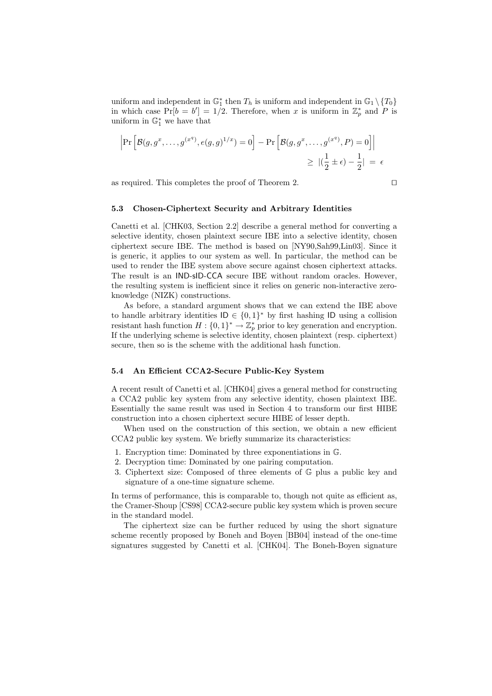uniform and independent in  $\mathbb{G}_1^*$  then  $T_h$  is uniform and independent in  $\mathbb{G}_1 \setminus \{T_0\}$ in which case  $Pr[b = b'] = 1/2$ . Therefore, when x is uniform in  $\mathbb{Z}_p^*$  and P is uniform in  $\mathbb{G}_1^*$  we have that

$$
\left| \Pr \left[ \mathcal{B}(g, g^x, \dots, g^{(x^q)}, e(g, g)^{1/x}) = 0 \right] - \Pr \left[ \mathcal{B}(g, g^x, \dots, g^{(x^q)}, P) = 0 \right] \right|
$$
  

$$
\geq |(\frac{1}{2} \pm \epsilon) - \frac{1}{2}| = \epsilon
$$

as required. This completes the proof of Theorem 2.

$$
\qquad \qquad \Box
$$

#### 5.3 Chosen-Ciphertext Security and Arbitrary Identities

Canetti et al. [CHK03, Section 2.2] describe a general method for converting a selective identity, chosen plaintext secure IBE into a selective identity, chosen ciphertext secure IBE. The method is based on [NY90,Sah99,Lin03]. Since it is generic, it applies to our system as well. In particular, the method can be used to render the IBE system above secure against chosen ciphertext attacks. The result is an IND-sID-CCA secure IBE without random oracles. However, the resulting system is inefficient since it relies on generic non-interactive zeroknowledge (NIZK) constructions.

As before, a standard argument shows that we can extend the IBE above to handle arbitrary identities  $\mathsf{ID} \in \{0,1\}^*$  by first hashing  $\mathsf{ID}$  using a collision resistant hash function  $H: \{0,1\}^* \to \mathbb{Z}_p^*$  prior to key generation and encryption. If the underlying scheme is selective identity, chosen plaintext (resp. ciphertext) secure, then so is the scheme with the additional hash function.

#### 5.4 An Efficient CCA2-Secure Public-Key System

A recent result of Canetti et al. [CHK04] gives a general method for constructing a CCA2 public key system from any selective identity, chosen plaintext IBE. Essentially the same result was used in Section 4 to transform our first HIBE construction into a chosen ciphertext secure HIBE of lesser depth.

When used on the construction of this section, we obtain a new efficient CCA2 public key system. We briefly summarize its characteristics:

- 1. Encryption time: Dominated by three exponentiations in G.
- 2. Decryption time: Dominated by one pairing computation.
- 3. Ciphertext size: Composed of three elements of G plus a public key and signature of a one-time signature scheme.

In terms of performance, this is comparable to, though not quite as efficient as, the Cramer-Shoup [CS98] CCA2-secure public key system which is proven secure in the standard model.

The ciphertext size can be further reduced by using the short signature scheme recently proposed by Boneh and Boyen [BB04] instead of the one-time signatures suggested by Canetti et al. [CHK04]. The Boneh-Boyen signature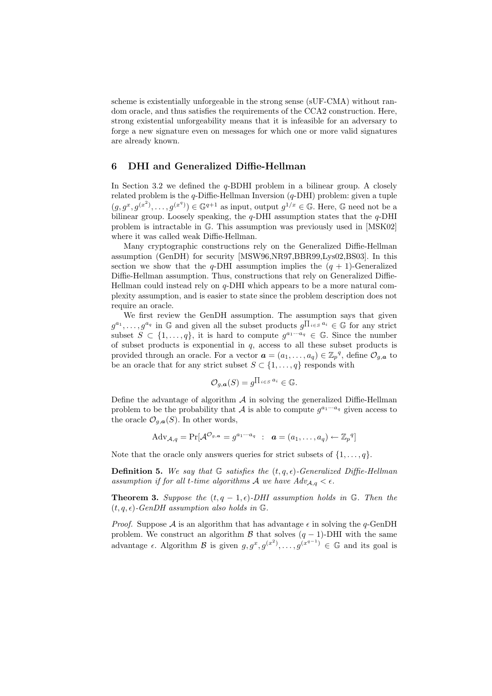scheme is existentially unforgeable in the strong sense (sUF-CMA) without random oracle, and thus satisfies the requirements of the CCA2 construction. Here, strong existential unforgeability means that it is infeasible for an adversary to forge a new signature even on messages for which one or more valid signatures are already known.

# 6 DHI and Generalized Diffie-Hellman

In Section 3.2 we defined the  $q$ -BDHI problem in a bilinear group. A closely related problem is the  $q$ -Diffie-Hellman Inversion  $(q$ -DHI) problem: given a tuple  $(g, g^x, g^{(x^2)}, \ldots, g^{(x^q)}) \in \mathbb{G}^{q+1}$  as input, output  $g^{1/x} \in \mathbb{G}$ . Here,  $\mathbb G$  need not be a bilinear group. Loosely speaking, the q-DHI assumption states that the q-DHI problem is intractable in G. This assumption was previously used in [MSK02] where it was called weak Diffie-Hellman.

Many cryptographic constructions rely on the Generalized Diffie-Hellman assumption (GenDH) for security [MSW96,NR97,BBR99,Lys02,BS03]. In this section we show that the q-DHI assumption implies the  $(q + 1)$ -Generalized Diffie-Hellman assumption. Thus, constructions that rely on Generalized Diffie-Hellman could instead rely on  $q$ -DHI which appears to be a more natural complexity assumption, and is easier to state since the problem description does not require an oracle.

We first review the GenDH assumption. The assumption says that given  $g^{a_1}, \ldots, g^{a_q}$  in G and given all the subset products  $g^{\prod_{i \in S} a_i} \in \mathbb{G}$  for any strict subset  $S \subset \{1,\ldots,q\}$ , it is hard to compute  $g^{a_1 \cdots a_q} \in \mathbb{G}$ . Since the number of subset products is exponential in  $q$ , access to all these subset products is provided through an oracle. For a vector  $\boldsymbol{a} = (a_1, \ldots, a_q) \in \mathbb{Z}_p^q$ , define  $\mathcal{O}_{g,\boldsymbol{a}}$  to be an oracle that for any strict subset  $S \subset \{1, \ldots, q\}$  responds with

$$
\mathcal{O}_{g,\boldsymbol{a}}(S) = g^{\prod_{i \in S} a_i} \in \mathbb{G}.
$$

Define the advantage of algorithm  $A$  in solving the generalized Diffie-Hellman problem to be the probability that A is able to compute  $g^{a_1 \cdots a_q}$  given access to the oracle  $\mathcal{O}_{g,\boldsymbol{a}}(S)$ . In other words,

$$
Adv_{\mathcal{A},q} = \Pr[\mathcal{A}^{\mathcal{O}_{g,a}} = g^{a_1 \cdots a_q} \ : \ \ \boldsymbol{a} = (a_1, \ldots, a_q) \leftarrow \mathbb{Z}_p^q]
$$

Note that the oracle only answers queries for strict subsets of  $\{1, \ldots, q\}$ .

**Definition 5.** We say that G satisfies the  $(t, q, \epsilon)$ -Generalized Diffie-Hellman assumption if for all t-time algorithms A we have  $Adv_{A,q} < \epsilon$ .

**Theorem 3.** Suppose the  $(t, q - 1, \epsilon)$ -DHI assumption holds in G. Then the  $(t, q, \epsilon)$ -GenDH assumption also holds in G.

*Proof.* Suppose A is an algorithm that has advantage  $\epsilon$  in solving the q-GenDH problem. We construct an algorithm  $\beta$  that solves  $(q - 1)$ -DHI with the same advantage  $\epsilon$ . Algorithm  $\mathcal B$  is given  $g, g^x, g^{(x^2)}, \ldots, g^{(x^{q-1})} \in \mathbb G$  and its goal is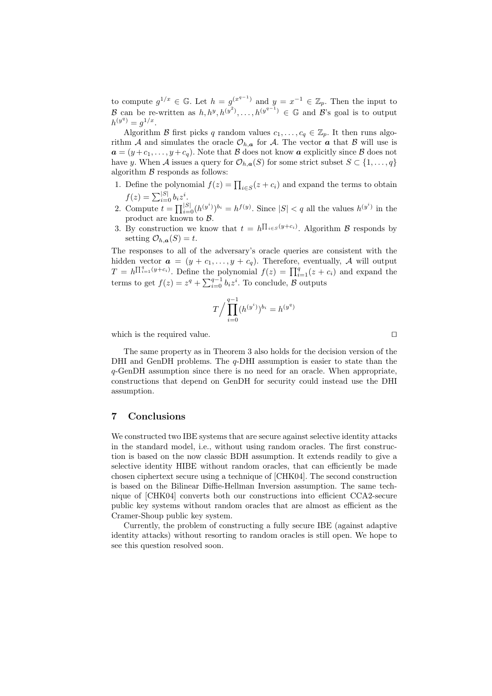to compute  $g^{1/x} \in \mathbb{G}$ . Let  $h = g^{(x^{q-1})}$  and  $y = x^{-1} \in \mathbb{Z}_p$ . Then the input to B can be re-written as  $h, h^y, h^{(y^2)}, \ldots, h^{(y^{q-1})} \in \mathbb{G}$  and B's goal is to output  $h^{(y^q)} = g^{1/x}.$ 

Algorithm B first picks q random values  $c_1, \ldots, c_q \in \mathbb{Z}_p$ . It then runs algorithm A and simulates the oracle  $\mathcal{O}_{h,a}$  for A. The vector a that B will use is  $a = (y + c_1, \ldots, y + c_q)$ . Note that B does not know a explicitly since B does not have y. When A issues a query for  $\mathcal{O}_{h,\mathbf{a}}(S)$  for some strict subset  $S \subset \{1,\ldots,q\}$ algorithm  $\beta$  responds as follows:

- 1. Define the polynomial  $f(z) = \prod_{i \in S} (z + c_i)$  and expand the terms to obtain Define the polynomial  $f(z) = \prod_{i \in S} f(z) = \sum_{i=0}^{|S|} b_i z^i$ .
- 2. Compute  $t = \prod_{i=0}^{|S|} (h^{(y^i)})^{b_i} = h^{f(y)}$ . Since  $|S| < q$  all the values  $h^{(y^i)}$  in the product are known to B.
- 3. By construction we know that  $t = h^{\prod_{i \in S}(y+c_i)}$ . Algorithm B responds by setting  $\mathcal{O}_{h,\mathbf{a}}(S) = t$ .

The responses to all of the adversary's oracle queries are consistent with the hidden vector  $\mathbf{a} = (y + c_1, \ldots, y + c_q)$ . Therefore, eventually, A will output  $T = h^{\prod_{i=1}^{q}(y+c_i)}$ . Define the polynomial  $f(z) = \prod_{i=1}^{q}(z+c_i)$  and expand the terms to get  $f(z) = z^q + \sum_{i=0}^{q-1} b_i z^i$ . To conclude,  $\beta$  outputs

$$
T / \prod_{i=0}^{q-1} (h^{(y^i)})^{b_i} = h^{(y^q)}
$$

which is the required value.  $\Box$ 

The same property as in Theorem 3 also holds for the decision version of the DHI and GenDH problems. The  $q$ -DHI assumption is easier to state than the q-GenDH assumption since there is no need for an oracle. When appropriate, constructions that depend on GenDH for security could instead use the DHI assumption.

# 7 Conclusions

We constructed two IBE systems that are secure against selective identity attacks in the standard model, i.e., without using random oracles. The first construction is based on the now classic BDH assumption. It extends readily to give a selective identity HIBE without random oracles, that can efficiently be made chosen ciphertext secure using a technique of [CHK04]. The second construction is based on the Bilinear Diffie-Hellman Inversion assumption. The same technique of [CHK04] converts both our constructions into efficient CCA2-secure public key systems without random oracles that are almost as efficient as the Cramer-Shoup public key system.

Currently, the problem of constructing a fully secure IBE (against adaptive identity attacks) without resorting to random oracles is still open. We hope to see this question resolved soon.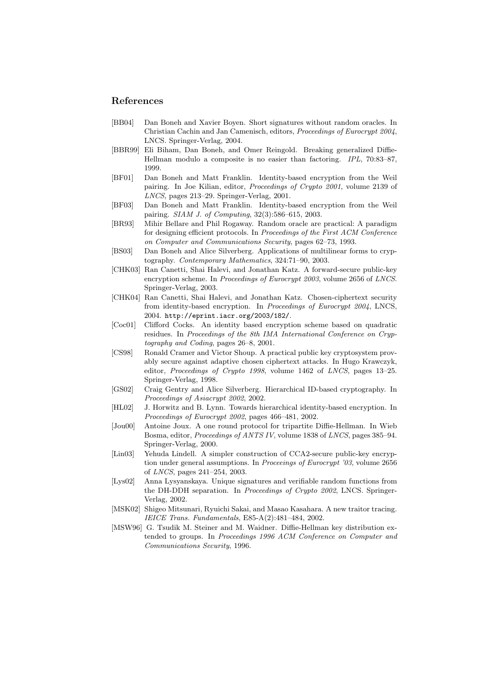# References

- [BB04] Dan Boneh and Xavier Boyen. Short signatures without random oracles. In Christian Cachin and Jan Camenisch, editors, Proceedings of Eurocrypt 2004, LNCS. Springer-Verlag, 2004.
- [BBR99] Eli Biham, Dan Boneh, and Omer Reingold. Breaking generalized Diffie-Hellman modulo a composite is no easier than factoring. IPL, 70:83–87, 1999.
- [BF01] Dan Boneh and Matt Franklin. Identity-based encryption from the Weil pairing. In Joe Kilian, editor, Proceedings of Crypto 2001, volume 2139 of LNCS, pages 213–29. Springer-Verlag, 2001.
- [BF03] Dan Boneh and Matt Franklin. Identity-based encryption from the Weil pairing. SIAM J. of Computing, 32(3):586–615, 2003.
- [BR93] Mihir Bellare and Phil Rogaway. Random oracle are practical: A paradigm for designing efficient protocols. In Proceedings of the First ACM Conference on Computer and Communications Security, pages 62–73, 1993.
- [BS03] Dan Boneh and Alice Silverberg. Applications of multilinear forms to cryptography. Contemporary Mathematics, 324:71–90, 2003.
- [CHK03] Ran Canetti, Shai Halevi, and Jonathan Katz. A forward-secure public-key encryption scheme. In *Proceedings of Eurocrypt 2003*, volume 2656 of *LNCS*. Springer-Verlag, 2003.
- [CHK04] Ran Canetti, Shai Halevi, and Jonathan Katz. Chosen-ciphertext security from identity-based encryption. In Proceedings of Eurocrypt 2004, LNCS, 2004. http://eprint.iacr.org/2003/182/.
- [Coc01] Clifford Cocks. An identity based encryption scheme based on quadratic residues. In Proceedings of the 8th IMA International Conference on Cryptography and Coding, pages 26–8, 2001.
- [CS98] Ronald Cramer and Victor Shoup. A practical public key cryptosystem provably secure against adaptive chosen ciphertext attacks. In Hugo Krawczyk, editor, Proceedings of Crypto 1998, volume 1462 of LNCS, pages 13–25. Springer-Verlag, 1998.
- [GS02] Craig Gentry and Alice Silverberg. Hierarchical ID-based cryptography. In Proceedings of Asiacrypt 2002, 2002.
- [HL02] J. Horwitz and B. Lynn. Towards hierarchical identity-based encryption. In Proceedings of Eurocrypt 2002, pages 466–481, 2002.
- [Jou00] Antoine Joux. A one round protocol for tripartite Diffie-Hellman. In Wieb Bosma, editor, Proceedings of ANTS IV, volume 1838 of LNCS, pages 385–94. Springer-Verlag, 2000.
- [Lin03] Yehuda Lindell. A simpler construction of CCA2-secure public-key encryption under general assumptions. In Proceeings of Eurocrypt '03, volume 2656 of LNCS, pages 241–254, 2003.
- [Lys02] Anna Lysyanskaya. Unique signatures and verifiable random functions from the DH-DDH separation. In Proceedings of Crypto 2002, LNCS. Springer-Verlag, 2002.
- [MSK02] Shigeo Mitsunari, Ryuichi Sakai, and Masao Kasahara. A new traitor tracing. IEICE Trans. Fundamentals, E85-A(2):481–484, 2002.
- [MSW96] G. Tsudik M. Steiner and M. Waidner. Diffie-Hellman key distribution extended to groups. In Proceedings 1996 ACM Conference on Computer and Communications Security, 1996.